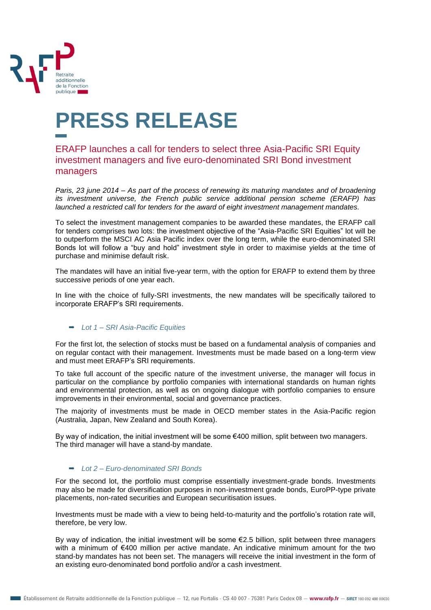

## **PRESS RELEASE**

## ERAFP launches a call for tenders to select three Asia-Pacific SRI Equity investment managers and five euro-denominated SRI Bond investment managers

*Paris, 23 june 2014 – As part of the process of renewing its maturing mandates and of broadening its investment universe, the French public service additional pension scheme (ERAFP) has launched a restricted call for tenders for the award of eight investment management mandates.*

To select the investment management companies to be awarded these mandates, the ERAFP call for tenders comprises two lots: the investment objective of the "Asia-Pacific SRI Equities" lot will be to outperform the MSCI AC Asia Pacific index over the long term, while the euro-denominated SRI Bonds lot will follow a "buy and hold" investment style in order to maximise yields at the time of purchase and minimise default risk.

The mandates will have an initial five-year term, with the option for ERAFP to extend them by three successive periods of one year each.

In line with the choice of fully-SRI investments, the new mandates will be specifically tailored to incorporate ERAFP's SRI requirements.

## *Lot 1 – SRI Asia-Pacific Equities*

For the first lot, the selection of stocks must be based on a fundamental analysis of companies and on regular contact with their management. Investments must be made based on a long-term view and must meet ERAFP's SRI requirements.

To take full account of the specific nature of the investment universe, the manager will focus in particular on the compliance by portfolio companies with international standards on human rights and environmental protection, as well as on ongoing dialogue with portfolio companies to ensure improvements in their environmental, social and governance practices.

The majority of investments must be made in OECD member states in the Asia-Pacific region (Australia, Japan, New Zealand and South Korea).

By way of indication, the initial investment will be some €400 million, split between two managers. The third manager will have a stand-by mandate.

## *Lot 2 – Euro-denominated SRI Bonds*

For the second lot, the portfolio must comprise essentially investment-grade bonds. Investments may also be made for diversification purposes in non-investment grade bonds, EuroPP-type private placements, non-rated securities and European securitisation issues.

Investments must be made with a view to being held-to-maturity and the portfolio's rotation rate will, therefore, be very low.

By way of indication, the initial investment will be some  $\epsilon$ 2.5 billion, split between three managers with a minimum of €400 million per active mandate. An indicative minimum amount for the two stand-by mandates has not been set. The managers will receive the initial investment in the form of an existing euro-denominated bond portfolio and/or a cash investment.